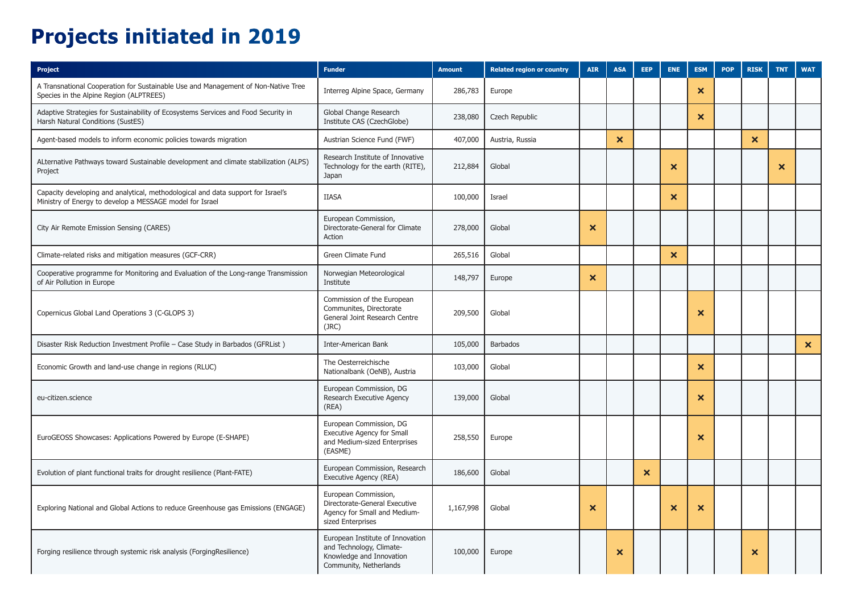## **Projects initiated in 2019**

| Project                                                                                                                                      | <b>Funder</b>                                                                                                      | <b>Amount</b> | <b>Related region or country</b> | <b>AIR</b>                | <b>ASA</b>                | <b>EEP</b>            | <b>ENE</b>                | <b>ESM</b>                | <b>POP</b> | <b>RISK</b>               | <b>TNT</b>                | <b>WAT</b>                |
|----------------------------------------------------------------------------------------------------------------------------------------------|--------------------------------------------------------------------------------------------------------------------|---------------|----------------------------------|---------------------------|---------------------------|-----------------------|---------------------------|---------------------------|------------|---------------------------|---------------------------|---------------------------|
| A Transnational Cooperation for Sustainable Use and Management of Non-Native Tree<br>Species in the Alpine Region (ALPTREES)                 | Interreg Alpine Space, Germany                                                                                     | 286,783       | Europe                           |                           |                           |                       |                           | $\boldsymbol{\mathsf{x}}$ |            |                           |                           |                           |
| Adaptive Strategies for Sustainability of Ecosystems Services and Food Security in<br>Harsh Natural Conditions (SustES)                      | Global Change Research<br>Institute CAS (CzechGlobe)                                                               | 238,080       | Czech Republic                   |                           |                           |                       |                           | $\boldsymbol{\times}$     |            |                           |                           |                           |
| Agent-based models to inform economic policies towards migration                                                                             | Austrian Science Fund (FWF)                                                                                        | 407,000       | Austria, Russia                  |                           | $\boldsymbol{\mathsf{x}}$ |                       |                           |                           |            | $\boldsymbol{\mathsf{x}}$ |                           |                           |
| ALternative Pathways toward Sustainable development and climate stabilization (ALPS)<br>Project                                              | Research Institute of Innovative<br>Technology for the earth (RITE),<br>Japan                                      | 212,884       | Global                           |                           |                           |                       | $\boldsymbol{\mathsf{x}}$ |                           |            |                           | $\boldsymbol{\mathsf{x}}$ |                           |
| Capacity developing and analytical, methodological and data support for Israel's<br>Ministry of Energy to develop a MESSAGE model for Israel | <b>IIASA</b>                                                                                                       | 100,000       | Israel                           |                           |                           |                       | $\boldsymbol{\mathsf{x}}$ |                           |            |                           |                           |                           |
| City Air Remote Emission Sensing (CARES)                                                                                                     | European Commission,<br>Directorate-General for Climate<br>Action                                                  | 278,000       | Global                           | $\boldsymbol{\mathsf{x}}$ |                           |                       |                           |                           |            |                           |                           |                           |
| Climate-related risks and mitigation measures (GCF-CRR)                                                                                      | Green Climate Fund                                                                                                 | 265,516       | Global                           |                           |                           |                       | $\boldsymbol{\mathsf{x}}$ |                           |            |                           |                           |                           |
| Cooperative programme for Monitoring and Evaluation of the Long-range Transmission<br>of Air Pollution in Europe                             | Norwegian Meteorological<br>Institute                                                                              | 148,797       | Europe                           | $\boldsymbol{\mathsf{x}}$ |                           |                       |                           |                           |            |                           |                           |                           |
| Copernicus Global Land Operations 3 (C-GLOPS 3)                                                                                              | Commission of the European<br>Communites, Directorate<br>General Joint Research Centre<br>(JRC)                    | 209,500       | Global                           |                           |                           |                       |                           | $\boldsymbol{\mathsf{x}}$ |            |                           |                           |                           |
| Disaster Risk Reduction Investment Profile - Case Study in Barbados (GFRList)                                                                | Inter-American Bank                                                                                                | 105,000       | <b>Barbados</b>                  |                           |                           |                       |                           |                           |            |                           |                           | $\boldsymbol{\mathsf{x}}$ |
| Economic Growth and land-use change in regions (RLUC)                                                                                        | The Oesterreichische<br>Nationalbank (OeNB), Austria                                                               | 103,000       | Global                           |                           |                           |                       |                           | $\boldsymbol{\times}$     |            |                           |                           |                           |
| eu-citizen.science                                                                                                                           | European Commission, DG<br>Research Executive Agency<br>(REA)                                                      | 139,000       | Global                           |                           |                           |                       |                           | $\boldsymbol{\mathsf{x}}$ |            |                           |                           |                           |
| EuroGEOSS Showcases: Applications Powered by Europe (E-SHAPE)                                                                                | European Commission, DG<br><b>Executive Agency for Small</b><br>and Medium-sized Enterprises<br>(EASME)            | 258,550       | Europe                           |                           |                           |                       |                           | ×                         |            |                           |                           |                           |
| Evolution of plant functional traits for drought resilience (Plant-FATE)                                                                     | European Commission, Research<br>Executive Agency (REA)                                                            | 186,600       | Global                           |                           |                           | $\boldsymbol{\times}$ |                           |                           |            |                           |                           |                           |
| Exploring National and Global Actions to reduce Greenhouse gas Emissions (ENGAGE)                                                            | European Commission,<br>Directorate-General Executive<br>Agency for Small and Medium-<br>sized Enterprises         | 1,167,998     | Global                           | ×                         |                           |                       | ×                         | $\boldsymbol{\mathsf{x}}$ |            |                           |                           |                           |
| Forging resilience through systemic risk analysis (ForgingResilience)                                                                        | European Institute of Innovation<br>and Technology, Climate-<br>Knowledge and Innovation<br>Community, Netherlands | 100,000       | Europe                           |                           | ×                         |                       |                           |                           |            | ×                         |                           |                           |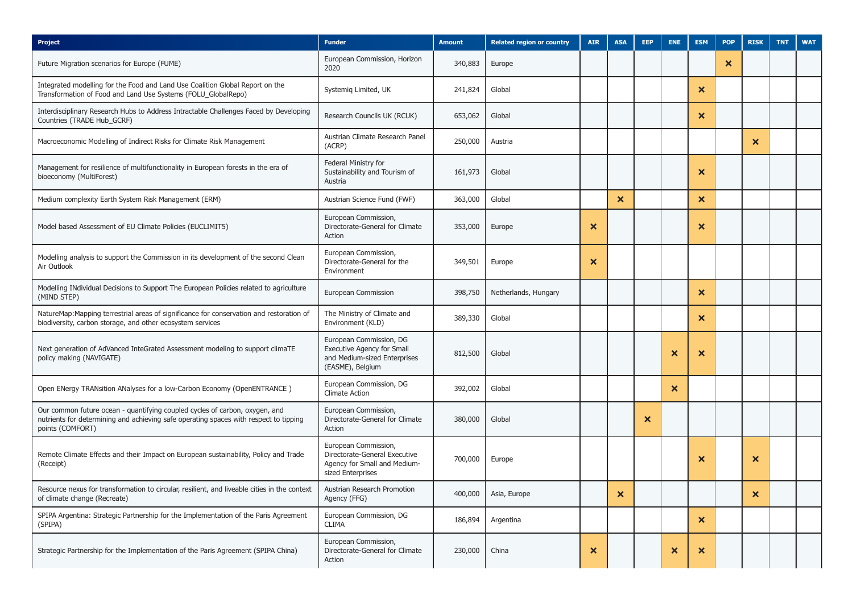| Project                                                                                                                                                                                  | <b>Funder</b>                                                                                                    | <b>Amount</b> | <b>Related region or country</b> | <b>AIR</b> | <b>ASA</b>                | <b>EEP</b>                | <b>ENE</b>                | <b>ESM</b>                | <b>POP</b> | <b>RISK</b> | <b>TNT</b> | <b>WAT</b> |
|------------------------------------------------------------------------------------------------------------------------------------------------------------------------------------------|------------------------------------------------------------------------------------------------------------------|---------------|----------------------------------|------------|---------------------------|---------------------------|---------------------------|---------------------------|------------|-------------|------------|------------|
| Future Migration scenarios for Europe (FUME)                                                                                                                                             | European Commission, Horizon<br>2020                                                                             | 340,883       | Europe                           |            |                           |                           |                           |                           | ×          |             |            |            |
| Integrated modelling for the Food and Land Use Coalition Global Report on the<br>Transformation of Food and Land Use Systems (FOLU_GlobalRepo)                                           | Systemig Limited, UK                                                                                             | 241,824       | Global                           |            |                           |                           |                           | $\boldsymbol{\times}$     |            |             |            |            |
| Interdisciplinary Research Hubs to Address Intractable Challenges Faced by Developing<br>Countries (TRADE Hub_GCRF)                                                                      | Research Councils UK (RCUK)                                                                                      | 653,062       | Global                           |            |                           |                           |                           | $\boldsymbol{\times}$     |            |             |            |            |
| Macroeconomic Modelling of Indirect Risks for Climate Risk Management                                                                                                                    | Austrian Climate Research Panel<br>(ACRP)                                                                        | 250,000       | Austria                          |            |                           |                           |                           |                           |            | ×           |            |            |
| Management for resilience of multifunctionality in European forests in the era of<br>bioeconomy (MultiForest)                                                                            | Federal Ministry for<br>Sustainability and Tourism of<br>Austria                                                 | 161,973       | Global                           |            |                           |                           |                           | ×                         |            |             |            |            |
| Medium complexity Earth System Risk Management (ERM)                                                                                                                                     | Austrian Science Fund (FWF)                                                                                      | 363,000       | Global                           |            | $\boldsymbol{\mathsf{x}}$ |                           |                           | $\boldsymbol{\mathsf{x}}$ |            |             |            |            |
| Model based Assessment of EU Climate Policies (EUCLIMIT5)                                                                                                                                | European Commission,<br>Directorate-General for Climate<br>Action                                                | 353,000       | Europe                           | ×          |                           |                           |                           | $\boldsymbol{\mathsf{x}}$ |            |             |            |            |
| Modelling analysis to support the Commission in its development of the second Clean<br>Air Outlook                                                                                       | European Commission,<br>Directorate-General for the<br>Environment                                               | 349,501       | Europe                           | ×          |                           |                           |                           |                           |            |             |            |            |
| Modelling INdividual Decisions to Support The European Policies related to agriculture<br>(MIND STEP)                                                                                    | European Commission                                                                                              | 398,750       | Netherlands, Hungary             |            |                           |                           |                           | $\boldsymbol{\mathsf{x}}$ |            |             |            |            |
| NatureMap:Mapping terrestrial areas of significance for conservation and restoration of<br>biodiversity, carbon storage, and other ecosystem services                                    | The Ministry of Climate and<br>Environment (KLD)                                                                 | 389,330       | Global                           |            |                           |                           |                           | $\boldsymbol{\times}$     |            |             |            |            |
| Next generation of AdVanced InteGrated Assessment modeling to support climaTE<br>policy making (NAVIGATE)                                                                                | European Commission, DG<br><b>Executive Agency for Small</b><br>and Medium-sized Enterprises<br>(EASME), Belgium | 812,500       | Global                           |            |                           |                           | $\boldsymbol{\mathsf{x}}$ | ×                         |            |             |            |            |
| Open ENergy TRANsition ANalyses for a low-Carbon Economy (OpenENTRANCE)                                                                                                                  | European Commission, DG<br><b>Climate Action</b>                                                                 | 392,002       | Global                           |            |                           |                           | $\boldsymbol{\mathsf{x}}$ |                           |            |             |            |            |
| Our common future ocean - quantifying coupled cycles of carbon, oxygen, and<br>nutrients for determining and achieving safe operating spaces with respect to tipping<br>points (COMFORT) | European Commission,<br>Directorate-General for Climate<br>Action                                                | 380,000       | Global                           |            |                           | $\boldsymbol{\mathsf{x}}$ |                           |                           |            |             |            |            |
| Remote Climate Effects and their Impact on European sustainability, Policy and Trade<br>(Receipt)                                                                                        | European Commission,<br>Directorate-General Executive<br>Agency for Small and Medium-<br>sized Enterprises       | 700,000       | Europe                           |            |                           |                           |                           | ×                         |            | ×           |            |            |
| Resource nexus for transformation to circular, resilient, and liveable cities in the context<br>of climate change (Recreate)                                                             | Austrian Research Promotion<br>Agency (FFG)                                                                      | 400,000       | Asia, Europe                     |            | ×                         |                           |                           |                           |            | ×           |            |            |
| SPIPA Argentina: Strategic Partnership for the Implementation of the Paris Agreement<br>(SPIPA)                                                                                          | European Commission, DG<br>CLIMA                                                                                 | 186,894       | Argentina                        |            |                           |                           |                           | $\boldsymbol{\mathsf{x}}$ |            |             |            |            |
| Strategic Partnership for the Implementation of the Paris Agreement (SPIPA China)                                                                                                        | European Commission,<br>Directorate-General for Climate<br>Action                                                | 230,000       | China                            | ×          |                           |                           | $\boldsymbol{\mathsf{x}}$ | $\boldsymbol{\mathsf{x}}$ |            |             |            |            |